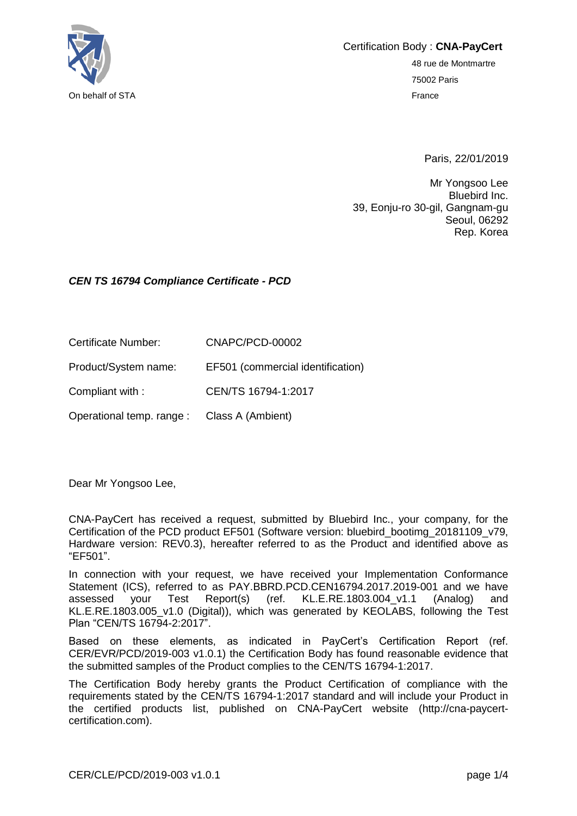

Certification Body : **CNA-PayCert**

48 rue de Montmartre 75002 Paris

Paris, 22/01/2019

Mr Yongsoo Lee Bluebird Inc. 39, Eonju-ro 30-gil, Gangnam-gu Seoul, 06292 Rep. Korea

#### *CEN TS 16794 Compliance Certificate - PCD*

Certificate Number: CNAPC/PCD-00002

Product/System name: EF501 (commercial identification)

Compliant with : CEN/TS 16794-1:2017

Operational temp. range : Class A (Ambient)

Dear Mr Yongsoo Lee,

CNA-PayCert has received a request, submitted by Bluebird Inc., your company, for the Certification of the PCD product EF501 (Software version: bluebird\_bootimg\_20181109\_v79, Hardware version: REV0.3), hereafter referred to as the Product and identified above as "EF501".

In connection with your request, we have received your Implementation Conformance Statement (ICS), referred to as PAY.BBRD.PCD.CEN16794.2017.2019-001 and we have assessed your Test Report(s) (ref. KL.E.RE.1803.004\_v1.1 (Analog) and KL.E.RE.1803.005 v1.0 (Digital)), which was generated by KEOLABS, following the Test Plan "CEN/TS 16794-2:2017".

Based on these elements, as indicated in PayCert's Certification Report (ref. CER/EVR/PCD/2019-003 v1.0.1) the Certification Body has found reasonable evidence that the submitted samples of the Product complies to the CEN/TS 16794-1:2017.

The Certification Body hereby grants the Product Certification of compliance with the requirements stated by the CEN/TS 16794-1:2017 standard and will include your Product in the certified products list, published on CNA-PayCert website (http://cna-paycertcertification.com).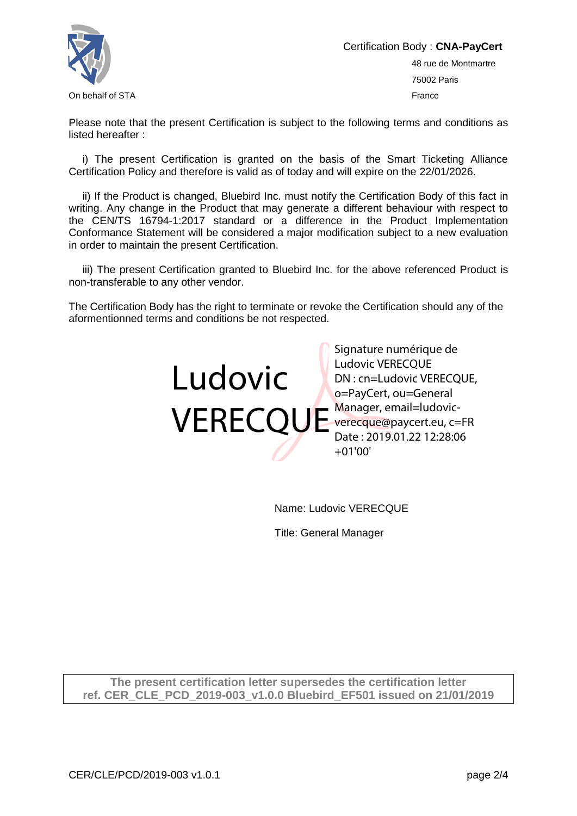

Certification Body : **CNA-PayCert** 48 rue de Montmartre 75002 Paris On behalf of STA France

Please note that the present Certification is subject to the following terms and conditions as listed hereafter :

i) The present Certification is granted on the basis of the Smart Ticketing Alliance Certification Policy and therefore is valid as of today and will expire on the 22/01/2026.

ii) If the Product is changed, Bluebird Inc. must notify the Certification Body of this fact in writing. Any change in the Product that may generate a different behaviour with respect to the CEN/TS 16794-1:2017 standard or a difference in the Product Implementation Conformance Statement will be considered a major modification subject to a new evaluation in order to maintain the present Certification.

iii) The present Certification granted to Bluebird Inc. for the above referenced Product is non-transferable to any other vendor.

The Certification Body has the right to terminate or revoke the Certification should any of the aformentionned terms and conditions be not respected.



Name: Ludovic VERECQUE

Title: General Manager

**The present certification letter supersedes the certification letter ref. CER\_CLE\_PCD\_2019-003\_v1.0.0 Bluebird\_EF501 issued on 21/01/2019**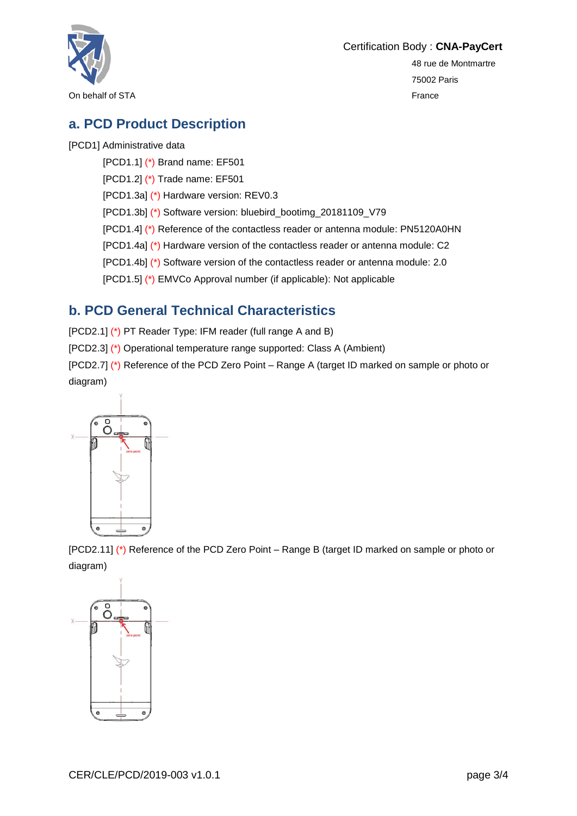

Certification Body : **CNA-PayCert**

48 rue de Montmartre 75002 Paris

### **a. PCD Product Description**

#### [PCD1] Administrative data

[PCD1.1] (\*) Brand name: EF501

[PCD1.2] (\*) Trade name: EF501

[PCD1.3a] (\*) Hardware version: REV0.3

[PCD1.3b] (\*) Software version: bluebird\_bootimg\_20181109\_V79

[PCD1.4] (\*) Reference of the contactless reader or antenna module: PN5120A0HN

[PCD1.4a] (\*) Hardware version of the contactless reader or antenna module: C2

[PCD1.4b] (\*) Software version of the contactless reader or antenna module: 2.0

[PCD1.5] (\*) EMVCo Approval number (if applicable): Not applicable

# **b. PCD General Technical Characteristics**

[PCD2.1] (\*) PT Reader Type: IFM reader (full range A and B)

[PCD2.3] (\*) Operational temperature range supported: Class A (Ambient)

[PCD2.7] (\*) Reference of the PCD Zero Point – Range A (target ID marked on sample or photo or diagram)



[PCD2.11] (\*) Reference of the PCD Zero Point – Range B (target ID marked on sample or photo or diagram)